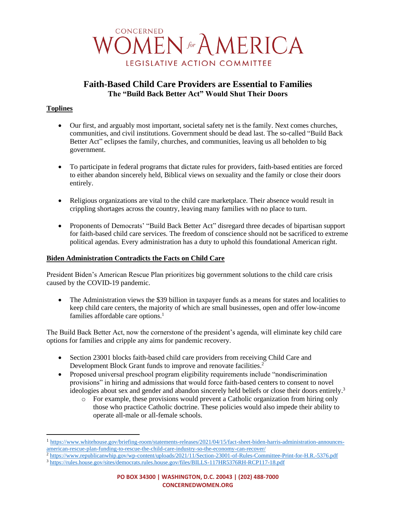

# **Faith-Based Child Care Providers are Essential to Families The "Build Back Better Act" Would Shut Their Doors**

# **Toplines**

- Our first, and arguably most important, societal safety net is the family. Next comes churches, communities, and civil institutions. Government should be dead last. The so-called "Build Back Better Act" eclipses the family, churches, and communities, leaving us all beholden to big government.
- To participate in federal programs that dictate rules for providers, faith-based entities are forced to either abandon sincerely held, Biblical views on sexuality and the family or close their doors entirely.
- Religious organizations are vital to the child care marketplace. Their absence would result in crippling shortages across the country, leaving many families with no place to turn.
- Proponents of Democrats' "Build Back Better Act" disregard three decades of bipartisan support for faith-based child care services. The freedom of conscience should not be sacrificed to extreme political agendas. Every administration has a duty to uphold this foundational American right.

#### **Biden Administration Contradicts the Facts on Child Care**

President Biden's American Rescue Plan prioritizes big government solutions to the child care crisis caused by the COVID-19 pandemic.

• The Administration views the \$39 billion in taxpayer funds as a means for states and localities to keep child care centers, the majority of which are small businesses, open and offer low-income families affordable care options.<sup>1</sup>

The Build Back Better Act, now the cornerstone of the president's agenda, will eliminate key child care options for families and cripple any aims for pandemic recovery.

- Section 23001 blocks faith-based child care providers from receiving Child Care and Development Block Grant funds to improve and renovate facilities.<sup>2</sup>
- Proposed universal preschool program eligibility requirements include "nondiscrimination" provisions" in hiring and admissions that would force faith-based centers to consent to novel ideologies about sex and gender and abandon sincerely held beliefs or close their doors entirely.<sup>3</sup>
	- o For example, these provisions would prevent a Catholic organization from hiring only those who practice Catholic doctrine. These policies would also impede their ability to operate all-male or all-female schools.

<sup>&</sup>lt;sup>1</sup> [https://www.whitehouse.gov/briefing-room/statements-releases/2021/04/15/fact-sheet-biden-harris-administration-announces](https://www.whitehouse.gov/briefing-room/statements-releases/2021/04/15/fact-sheet-biden-harris-administration-announces-american-rescue-plan-funding-to-rescue-the-child-care-industry-so-the-economy-can-recover/)[american-rescue-plan-funding-to-rescue-the-child-care-industry-so-the-economy-can-recover/](https://www.whitehouse.gov/briefing-room/statements-releases/2021/04/15/fact-sheet-biden-harris-administration-announces-american-rescue-plan-funding-to-rescue-the-child-care-industry-so-the-economy-can-recover/)

<sup>2</sup> <https://www.republicanwhip.gov/wp-content/uploads/2021/11/Section-23001-of-Rules-Committee-Print-for-H.R.-5376.pdf> <sup>3</sup> <https://rules.house.gov/sites/democrats.rules.house.gov/files/BILLS-117HR5376RH-RCP117-18.pdf>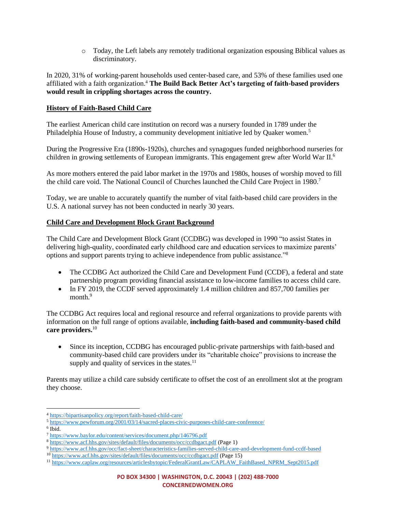o Today, the Left labels any remotely traditional organization espousing Biblical values as discriminatory.

In 2020, 31% of working-parent households used center-based care, and 53% of these families used one affiliated with a faith organization.<sup>4</sup> **The Build Back Better Act's targeting of faith-based providers would result in crippling shortages across the country.**

#### **History of Faith-Based Child Care**

The earliest American child care institution on record was a nursery founded in 1789 under the Philadelphia House of Industry, a community development initiative led by Quaker women.<sup>5</sup>

During the Progressive Era (1890s-1920s), churches and synagogues funded neighborhood nurseries for children in growing settlements of European immigrants. This engagement grew after World War II.<sup>6</sup>

As more mothers entered the paid labor market in the 1970s and 1980s, houses of worship moved to fill the child care void. The National Council of Churches launched the Child Care Project in 1980.<sup>7</sup>

Today, we are unable to accurately quantify the number of vital faith-based child care providers in the U.S. A national survey has not been conducted in nearly 30 years.

## **Child Care and Development Block Grant Background**

The Child Care and Development Block Grant (CCDBG) was developed in 1990 "to assist States in delivering high-quality, coordinated early childhood care and education services to maximize parents' options and support parents trying to achieve independence from public assistance."<sup>8</sup>

- The CCDBG Act authorized the Child Care and Development Fund (CCDF), a federal and state partnership program providing financial assistance to low-income families to access child care.
- In FY 2019, the CCDF served approximately 1.4 million children and 857,700 families per month.<sup>9</sup>

The CCDBG Act requires local and regional resource and referral organizations to provide parents with information on the full range of options available, **including faith-based and community-based child care providers.**<sup>10</sup>

• Since its inception, CCDBG has encouraged public-private partnerships with faith-based and community-based child care providers under its "charitable choice" provisions to increase the supply and quality of services in the states.<sup>11</sup>

Parents may utilize a child care subsidy certificate to offset the cost of an enrollment slot at the program they choose.

<sup>4</sup> <https://bipartisanpolicy.org/report/faith-based-child-care/>

<sup>5</sup> <https://www.pewforum.org/2001/03/14/sacred-places-civic-purposes-child-care-conference/>

<sup>6</sup> Ibid.

<sup>7</sup> <https://www.baylor.edu/content/services/document.php/146796.pdf>

<sup>8</sup> <https://www.acf.hhs.gov/sites/default/files/documents/occ/ccdbgact.pdf> (Page 1)

<sup>9</sup> <https://www.acf.hhs.gov/occ/fact-sheet/characteristics-families-served-child-care-and-development-fund-ccdf-based>

<sup>10</sup> <https://www.acf.hhs.gov/sites/default/files/documents/occ/ccdbgact.pdf> (Page 15)

<sup>&</sup>lt;sup>11</sup> [https://www.caplaw.org/resources/articlesbytopic/FederalGrantLaw/CAPLAW\\_FaithBased\\_NPRM\\_Sept2015.pdf](https://www.caplaw.org/resources/articlesbytopic/FederalGrantLaw/CAPLAW_FaithBased_NPRM_Sept2015.pdf)